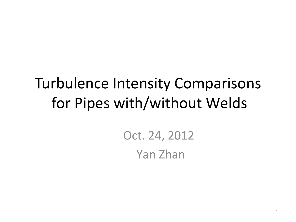# Turbulence Intensity Comparisons for Pipes with/without Welds

Oct. 24, 2012 Yan Zhan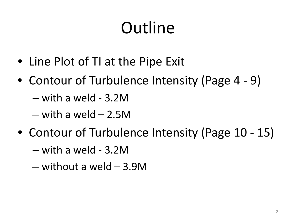# **Outline**

- Line Plot of TI at the Pipe Exit
- Contour of Turbulence Intensity (Page 4 9)
	- with a weld 3.2M
	- $-$  with a weld  $-$  2.5M
- Contour of Turbulence Intensity (Page 10 15)
	- with a weld 3.2M
	- without a weld 3.9M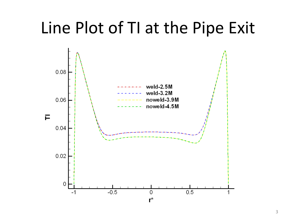# Line Plot of TI at the Pipe Exit

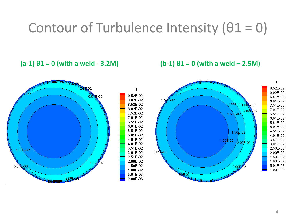### Contour of Turbulence Intensity  $(01 = 0)$

#### $(a-1) \theta1 = 0$  (with a weld - 3.2M)  $(b-1) \theta1 = 0$  (with a weld – 2.5M)

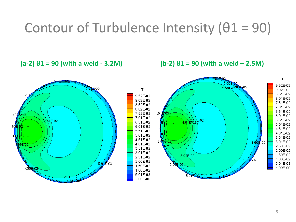## Contour of Turbulence Intensity  $(01 = 90)$

 $(a-2) \theta_1 = 90$  (with a weld - 3.2M)  $(b-2) \theta_1 = 90$  (with a weld – 2.5M)

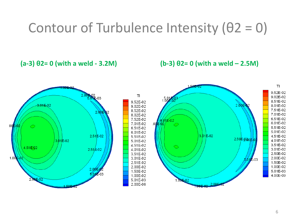## Contour of Turbulence Intensity  $(02 = 0)$

 $(a-3)$   $\theta$ **2**= 0 (with a weld - 3.2M)  $(b-3)$   $\theta$ **2**= 0 (with a weld – 2.5M)

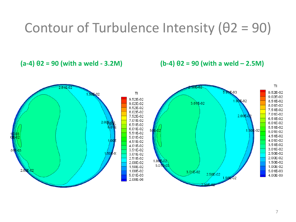#### Contour of Turbulence Intensity (θ2 = 90)

 $(a-4)$   $\theta$ **2** = 90 (with a weld - 3.2M)  $(b-4)$   $\theta$ **2** = 90 (with a weld – 2.5M)

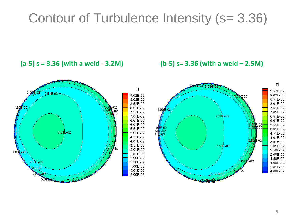#### Contour of Turbulence Intensity (s= 3.36)

**(a-5) s = 3.36 (with a weld - 3.2M) (b-5) s= 3.36 (with a weld – 2.5M)** 

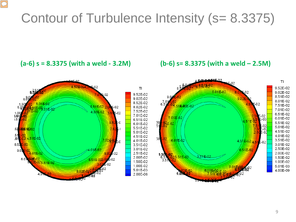## Contour of Turbulence Intensity (s= 8.3375)

#### **(a-6) s = 8.3375 (with a weld - 3.2M) (b-6) s= 8.3375 (with a weld – 2.5M)**

 $\boxed{\bigcirc}$ 



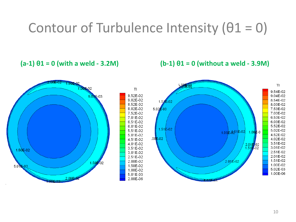## Contour of Turbulence Intensity  $(01 = 0)$

 $(a-1) \theta1 = 0$  (with a weld - 3.2M)  $(b-1) \theta1 = 0$  (without a weld - 3.9M)

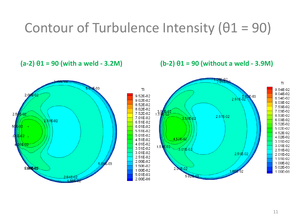## Contour of Turbulence Intensity  $(01 = 90)$

 $(a-2) \theta_1 = 90$  (with a weld - 3.2M)  $(b-2) \theta_1 = 90$  (without a weld - 3.9M)

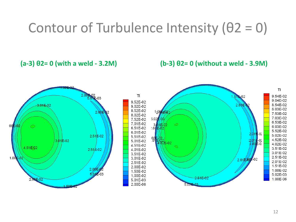## Contour of Turbulence Intensity  $(02 = 0)$

**(a-3)**  $\theta$ **2= 0 (with a weld - 3.2M) (b-3)**  $\theta$ **2= 0 (without a weld - 3.9M)** 

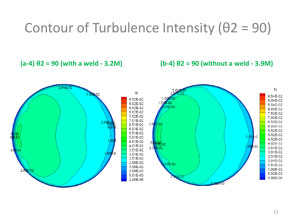### Contour of Turbulence Intensity  $(02 = 90)$

 $(a-4)$   $\theta$ **2** = 90 (with a weld - 3.2M)  $(b-4)$   $\theta$ **2** = 90 (without a weld - 3.9M)

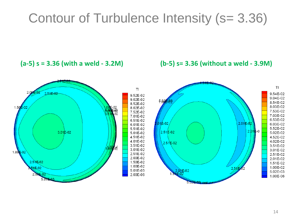#### Contour of Turbulence Intensity (s= 3.36)

**(a-5) s = 3.36 (with a weld - 3.2M) (b-5) s= 3.36 (without a weld - 3.9M)**